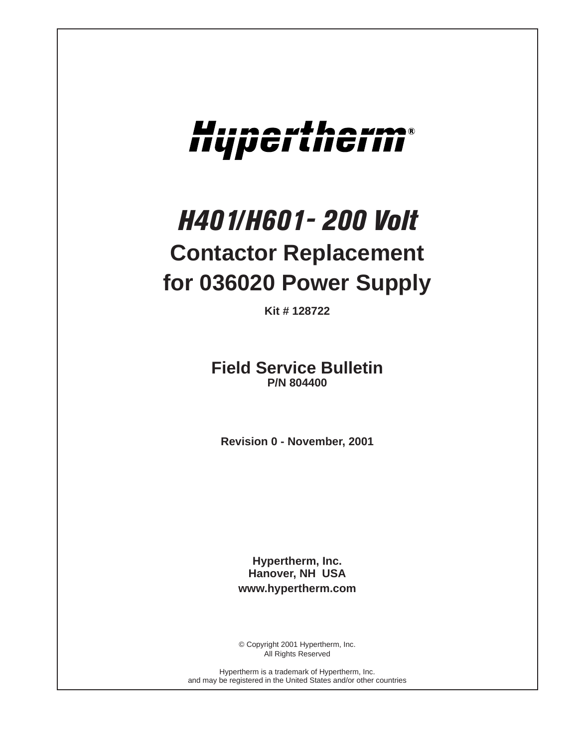# Hupertherm®

# *H401/H601- 200 Volt* **Contactor Replacement for 036020 Power Supply**

**Kit # 128722**

**Field Service Bulletin P/N 804400**

**Revision 0 - November, 2001**

**Hypertherm, Inc. Hanover, NH USA www.hypertherm.com**

© Copyright 2001 Hypertherm, Inc. All Rights Reserved

Hypertherm is a trademark of Hypertherm, Inc. and may be registered in the United States and/or other countries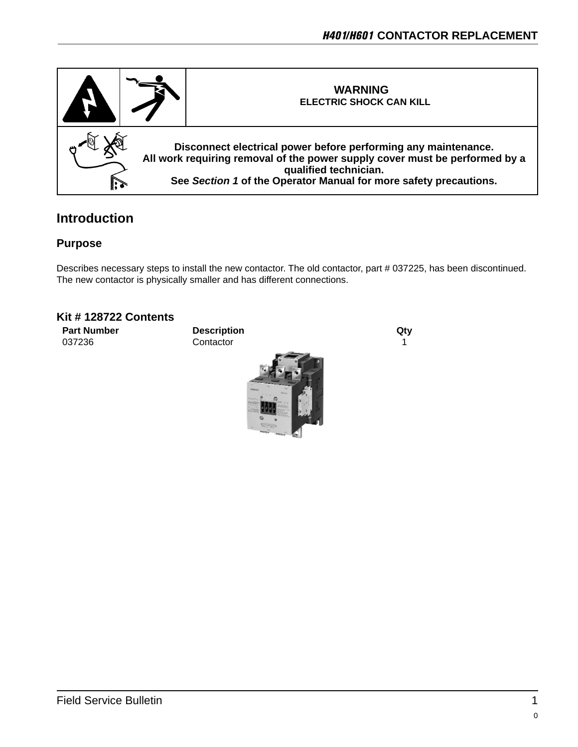

### **Introduction**

#### **Purpose**

Describes necessary steps to install the new contactor. The old contactor, part # 037225, has been discontinued. The new contactor is physically smaller and has different connections.

#### **Kit # 128722 Contents**

**Part Number Description City** 037236 Contactor **Contactor** 1